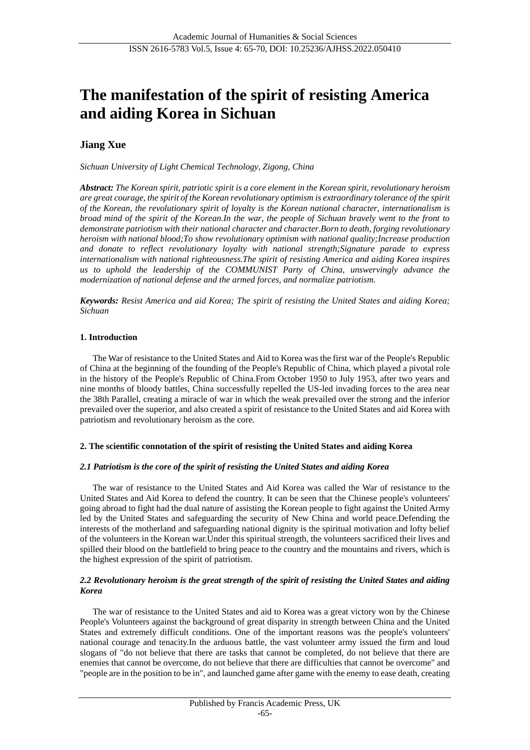# **The manifestation of the spirit of resisting America and aiding Korea in Sichuan**

## **Jiang Xue**

*Sichuan University of Light Chemical Technology, Zigong, China*

*Abstract: The Korean spirit, patriotic spirit is a core element in the Korean spirit, revolutionary heroism are great courage, the spirit of the Korean revolutionary optimism is extraordinary tolerance of the spirit of the Korean, the revolutionary spirit of loyalty is the Korean national character, internationalism is broad mind of the spirit of the Korean.In the war, the people of Sichuan bravely went to the front to demonstrate patriotism with their national character and character.Born to death, forging revolutionary heroism with national blood;To show revolutionary optimism with national quality;Increase production and donate to reflect revolutionary loyalty with national strength;Signature parade to express internationalism with national righteousness.The spirit of resisting America and aiding Korea inspires us to uphold the leadership of the COMMUNIST Party of China, unswervingly advance the modernization of national defense and the armed forces, and normalize patriotism.*

*Keywords: Resist America and aid Korea; The spirit of resisting the United States and aiding Korea; Sichuan*

## **1. Introduction**

The War of resistance to the United States and Aid to Korea was the first war of the People's Republic of China at the beginning of the founding of the People's Republic of China, which played a pivotal role in the history of the People's Republic of China.From October 1950 to July 1953, after two years and nine months of bloody battles, China successfully repelled the US-led invading forces to the area near the 38th Parallel, creating a miracle of war in which the weak prevailed over the strong and the inferior prevailed over the superior, and also created a spirit of resistance to the United States and aid Korea with patriotism and revolutionary heroism as the core.

## **2. The scientific connotation of the spirit of resisting the United States and aiding Korea**

## *2.1 Patriotism is the core of the spirit of resisting the United States and aiding Korea*

The war of resistance to the United States and Aid Korea was called the War of resistance to the United States and Aid Korea to defend the country. It can be seen that the Chinese people's volunteers' going abroad to fight had the dual nature of assisting the Korean people to fight against the United Army led by the United States and safeguarding the security of New China and world peace.Defending the interests of the motherland and safeguarding national dignity is the spiritual motivation and lofty belief of the volunteers in the Korean war.Under this spiritual strength, the volunteers sacrificed their lives and spilled their blood on the battlefield to bring peace to the country and the mountains and rivers, which is the highest expression of the spirit of patriotism.

## *2.2 Revolutionary heroism is the great strength of the spirit of resisting the United States and aiding Korea*

The war of resistance to the United States and aid to Korea was a great victory won by the Chinese People's Volunteers against the background of great disparity in strength between China and the United States and extremely difficult conditions. One of the important reasons was the people's volunteers' national courage and tenacity.In the arduous battle, the vast volunteer army issued the firm and loud slogans of "do not believe that there are tasks that cannot be completed, do not believe that there are enemies that cannot be overcome, do not believe that there are difficulties that cannot be overcome" and "people are in the position to be in", and launched game after game with the enemy to ease death, creating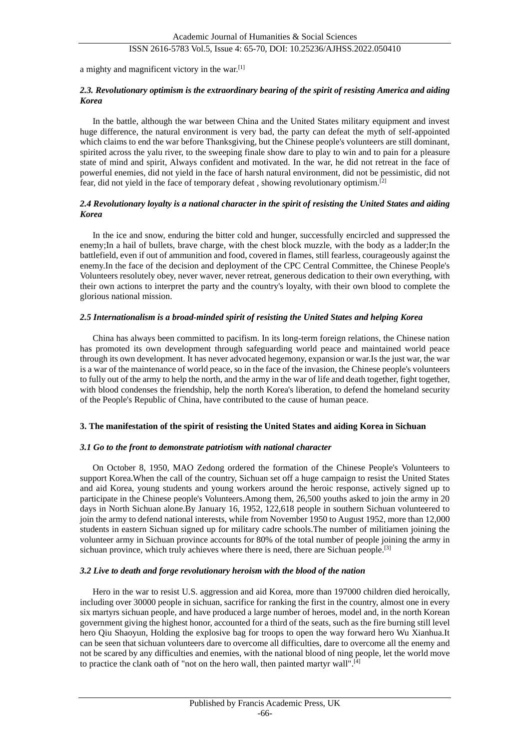## ISSN 2616-5783 Vol.5, Issue 4: 65-70, DOI: 10.25236/AJHSS.2022.050410

a mighty and magnificent victory in the war.[1]

## *2.3. Revolutionary optimism is the extraordinary bearing of the spirit of resisting America and aiding Korea*

In the battle, although the war between China and the United States military equipment and invest huge difference, the natural environment is very bad, the party can defeat the myth of self-appointed which claims to end the war before Thanksgiving, but the Chinese people's volunteers are still dominant, spirited across the yalu river, to the sweeping finale show dare to play to win and to pain for a pleasure state of mind and spirit, Always confident and motivated. In the war, he did not retreat in the face of powerful enemies, did not yield in the face of harsh natural environment, did not be pessimistic, did not fear, did not yield in the face of temporary defeat , showing revolutionary optimism.[2]

## *2.4 Revolutionary loyalty is a national character in the spirit of resisting the United States and aiding Korea*

In the ice and snow, enduring the bitter cold and hunger, successfully encircled and suppressed the enemy;In a hail of bullets, brave charge, with the chest block muzzle, with the body as a ladder;In the battlefield, even if out of ammunition and food, covered in flames, still fearless, courageously against the enemy.In the face of the decision and deployment of the CPC Central Committee, the Chinese People's Volunteers resolutely obey, never waver, never retreat, generous dedication to their own everything, with their own actions to interpret the party and the country's loyalty, with their own blood to complete the glorious national mission.

## *2.5 Internationalism is a broad-minded spirit of resisting the United States and helping Korea*

China has always been committed to pacifism. In its long-term foreign relations, the Chinese nation has promoted its own development through safeguarding world peace and maintained world peace through its own development. It has never advocated hegemony, expansion or war.Is the just war, the war is a war of the maintenance of world peace, so in the face of the invasion, the Chinese people's volunteers to fully out of the army to help the north, and the army in the war of life and death together, fight together, with blood condenses the friendship, help the north Korea's liberation, to defend the homeland security of the People's Republic of China, have contributed to the cause of human peace.

## **3. The manifestation of the spirit of resisting the United States and aiding Korea in Sichuan**

#### *3.1 Go to the front to demonstrate patriotism with national character*

On October 8, 1950, MAO Zedong ordered the formation of the Chinese People's Volunteers to support Korea.When the call of the country, Sichuan set off a huge campaign to resist the United States and aid Korea, young students and young workers around the heroic response, actively signed up to participate in the Chinese people's Volunteers.Among them, 26,500 youths asked to join the army in 20 days in North Sichuan alone.By January 16, 1952, 122,618 people in southern Sichuan volunteered to join the army to defend national interests, while from November 1950 to August 1952, more than 12,000 students in eastern Sichuan signed up for military cadre schools.The number of militiamen joining the volunteer army in Sichuan province accounts for 80% of the total number of people joining the army in sichuan province, which truly achieves where there is need, there are Sichuan people.<sup>[3]</sup>

#### *3.2 Live to death and forge revolutionary heroism with the blood of the nation*

Hero in the war to resist U.S. aggression and aid Korea, more than 197000 children died heroically, including over 30000 people in sichuan, sacrifice for ranking the first in the country, almost one in every six martyrs sichuan people, and have produced a large number of heroes, model and, in the north Korean government giving the highest honor, accounted for a third of the seats, such as the fire burning still level hero Qiu Shaoyun, Holding the explosive bag for troops to open the way forward hero Wu Xianhua.It can be seen that sichuan volunteers dare to overcome all difficulties, dare to overcome all the enemy and not be scared by any difficulties and enemies, with the national blood of ning people, let the world move to practice the clank oath of "not on the hero wall, then painted martyr wall".<sup>[4]</sup>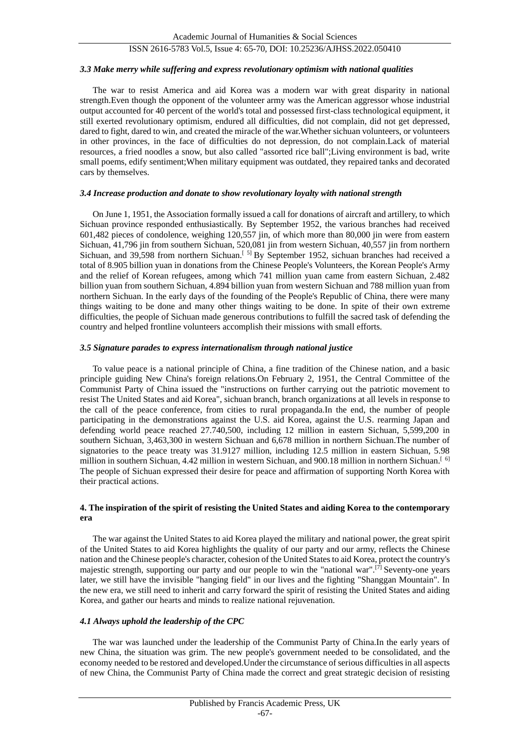## ISSN 2616-5783 Vol.5, Issue 4: 65-70, DOI: 10.25236/AJHSS.2022.050410

#### *3.3 Make merry while suffering and express revolutionary optimism with national qualities*

The war to resist America and aid Korea was a modern war with great disparity in national strength.Even though the opponent of the volunteer army was the American aggressor whose industrial output accounted for 40 percent of the world's total and possessed first-class technological equipment, it still exerted revolutionary optimism, endured all difficulties, did not complain, did not get depressed, dared to fight, dared to win, and created the miracle of the war. Whether sichuan volunteers, or volunteers in other provinces, in the face of difficulties do not depression, do not complain.Lack of material resources, a fried noodles a snow, but also called "assorted rice ball";Living environment is bad, write small poems, edify sentiment;When military equipment was outdated, they repaired tanks and decorated cars by themselves.

## *3.4 Increase production and donate to show revolutionary loyalty with national strength*

On June 1, 1951, the Association formally issued a call for donations of aircraft and artillery, to which Sichuan province responded enthusiastically. By September 1952, the various branches had received 601,482 pieces of condolence, weighing 120,557 jin, of which more than 80,000 jin were from eastern Sichuan, 41,796 jin from southern Sichuan, 520,081 jin from western Sichuan, 40,557 jin from northern Sichuan, and 39,598 from northern Sichuan.<sup>[5]</sup> By September 1952, sichuan branches had received a total of 8.905 billion yuan in donations from the Chinese People's Volunteers, the Korean People's Army and the relief of Korean refugees, among which 741 million yuan came from eastern Sichuan, 2.482 billion yuan from southern Sichuan, 4.894 billion yuan from western Sichuan and 788 million yuan from northern Sichuan. In the early days of the founding of the People's Republic of China, there were many things waiting to be done and many other things waiting to be done. In spite of their own extreme difficulties, the people of Sichuan made generous contributions to fulfill the sacred task of defending the country and helped frontline volunteers accomplish their missions with small efforts.

#### *3.5 Signature parades to express internationalism through national justice*

To value peace is a national principle of China, a fine tradition of the Chinese nation, and a basic principle guiding New China's foreign relations.On February 2, 1951, the Central Committee of the Communist Party of China issued the "instructions on further carrying out the patriotic movement to resist The United States and aid Korea", sichuan branch, branch organizations at all levels in response to the call of the peace conference, from cities to rural propaganda.In the end, the number of people participating in the demonstrations against the U.S. aid Korea, against the U.S. rearming Japan and defending world peace reached 27.740,500, including 12 million in eastern Sichuan, 5,599,200 in southern Sichuan, 3,463,300 in western Sichuan and 6,678 million in northern Sichuan.The number of signatories to the peace treaty was 31.9127 million, including 12.5 million in eastern Sichuan, 5.98 million in southern Sichuan, 4.42 million in western Sichuan, and 900.18 million in northern Sichuan.<sup>[6]</sup> The people of Sichuan expressed their desire for peace and affirmation of supporting North Korea with their practical actions.

#### **4. The inspiration of the spirit of resisting the United States and aiding Korea to the contemporary era**

The war against the United States to aid Korea played the military and national power, the great spirit of the United States to aid Korea highlights the quality of our party and our army, reflects the Chinese nation and the Chinese people's character, cohesion of the United States to aid Korea, protect the country's majestic strength, supporting our party and our people to win the "national war".<sup>[7]</sup> Seventy-one years later, we still have the invisible "hanging field" in our lives and the fighting "Shanggan Mountain". In the new era, we still need to inherit and carry forward the spirit of resisting the United States and aiding Korea, and gather our hearts and minds to realize national rejuvenation.

## *4.1 Always uphold the leadership of the CPC*

The war was launched under the leadership of the Communist Party of China.In the early years of new China, the situation was grim. The new people's government needed to be consolidated, and the economy needed to be restored and developed.Under the circumstance of serious difficulties in all aspects of new China, the Communist Party of China made the correct and great strategic decision of resisting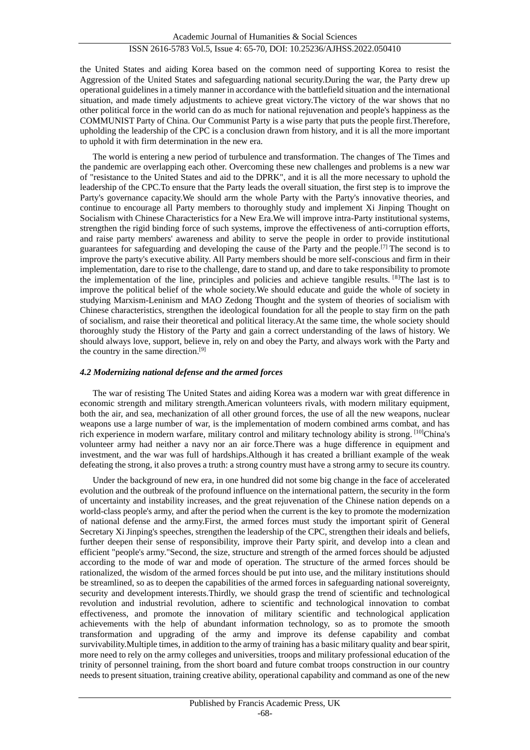the United States and aiding Korea based on the common need of supporting Korea to resist the Aggression of the United States and safeguarding national security.During the war, the Party drew up operational guidelines in a timely manner in accordance with the battlefield situation and the international situation, and made timely adjustments to achieve great victory.The victory of the war shows that no other political force in the world can do as much for national rejuvenation and people's happiness as the COMMUNIST Party of China. Our Communist Party is a wise party that puts the people first.Therefore, upholding the leadership of the CPC is a conclusion drawn from history, and it is all the more important to uphold it with firm determination in the new era.

The world is entering a new period of turbulence and transformation. The changes of The Times and the pandemic are overlapping each other. Overcoming these new challenges and problems is a new war of "resistance to the United States and aid to the DPRK", and it is all the more necessary to uphold the leadership of the CPC.To ensure that the Party leads the overall situation, the first step is to improve the Party's governance capacity.We should arm the whole Party with the Party's innovative theories, and continue to encourage all Party members to thoroughly study and implement Xi Jinping Thought on Socialism with Chinese Characteristics for a New Era.We will improve intra-Party institutional systems, strengthen the rigid binding force of such systems, improve the effectiveness of anti-corruption efforts, and raise party members' awareness and ability to serve the people in order to provide institutional guarantees for safeguarding and developing the cause of the Party and the people.[7] The second is to improve the party's executive ability. All Party members should be more self-conscious and firm in their implementation, dare to rise to the challenge, dare to stand up, and dare to take responsibility to promote the implementation of the line, principles and policies and achieve tangible results. [8]The last is to improve the political belief of the whole society.We should educate and guide the whole of society in studying Marxism-Leninism and MAO Zedong Thought and the system of theories of socialism with Chinese characteristics, strengthen the ideological foundation for all the people to stay firm on the path of socialism, and raise their theoretical and political literacy.At the same time, the whole society should thoroughly study the History of the Party and gain a correct understanding of the laws of history. We should always love, support, believe in, rely on and obey the Party, and always work with the Party and the country in the same direction.[9]

## *4.2 Modernizing national defense and the armed forces*

The war of resisting The United States and aiding Korea was a modern war with great difference in economic strength and military strength.American volunteers rivals, with modern military equipment, both the air, and sea, mechanization of all other ground forces, the use of all the new weapons, nuclear weapons use a large number of war, is the implementation of modern combined arms combat, and has rich experience in modern warfare, military control and military technology ability is strong. <sup>[10]</sup>China's volunteer army had neither a navy nor an air force.There was a huge difference in equipment and investment, and the war was full of hardships.Although it has created a brilliant example of the weak defeating the strong, it also proves a truth: a strong country must have a strong army to secure its country.

Under the background of new era, in one hundred did not some big change in the face of accelerated evolution and the outbreak of the profound influence on the international pattern, the security in the form of uncertainty and instability increases, and the great rejuvenation of the Chinese nation depends on a world-class people's army, and after the period when the current is the key to promote the modernization of national defense and the army.First, the armed forces must study the important spirit of General Secretary Xi Jinping's speeches, strengthen the leadership of the CPC, strengthen their ideals and beliefs, further deepen their sense of responsibility, improve their Party spirit, and develop into a clean and efficient "people's army."Second, the size, structure and strength of the armed forces should be adjusted according to the mode of war and mode of operation. The structure of the armed forces should be rationalized, the wisdom of the armed forces should be put into use, and the military institutions should be streamlined, so as to deepen the capabilities of the armed forces in safeguarding national sovereignty, security and development interests.Thirdly, we should grasp the trend of scientific and technological revolution and industrial revolution, adhere to scientific and technological innovation to combat effectiveness, and promote the innovation of military scientific and technological application achievements with the help of abundant information technology, so as to promote the smooth transformation and upgrading of the army and improve its defense capability and combat survivability.Multiple times, in addition to the army of training has a basic military quality and bear spirit, more need to rely on the army colleges and universities, troops and military professional education of the trinity of personnel training, from the short board and future combat troops construction in our country needs to present situation, training creative ability, operational capability and command as one of the new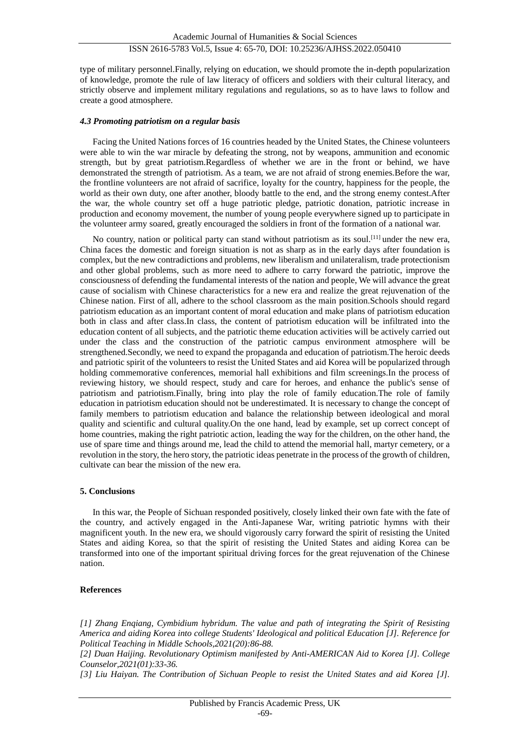type of military personnel.Finally, relying on education, we should promote the in-depth popularization of knowledge, promote the rule of law literacy of officers and soldiers with their cultural literacy, and strictly observe and implement military regulations and regulations, so as to have laws to follow and create a good atmosphere.

#### *4.3 Promoting patriotism on a regular basis*

Facing the United Nations forces of 16 countries headed by the United States, the Chinese volunteers were able to win the war miracle by defeating the strong, not by weapons, ammunition and economic strength, but by great patriotism.Regardless of whether we are in the front or behind, we have demonstrated the strength of patriotism. As a team, we are not afraid of strong enemies.Before the war, the frontline volunteers are not afraid of sacrifice, loyalty for the country, happiness for the people, the world as their own duty, one after another, bloody battle to the end, and the strong enemy contest.After the war, the whole country set off a huge patriotic pledge, patriotic donation, patriotic increase in production and economy movement, the number of young people everywhere signed up to participate in the volunteer army soared, greatly encouraged the soldiers in front of the formation of a national war.

No country, nation or political party can stand without patriotism as its soul.[11] under the new era, China faces the domestic and foreign situation is not as sharp as in the early days after foundation is complex, but the new contradictions and problems, new liberalism and unilateralism, trade protectionism and other global problems, such as more need to adhere to carry forward the patriotic, improve the consciousness of defending the fundamental interests of the nation and people, We will advance the great cause of socialism with Chinese characteristics for a new era and realize the great rejuvenation of the Chinese nation. First of all, adhere to the school classroom as the main position.Schools should regard patriotism education as an important content of moral education and make plans of patriotism education both in class and after class.In class, the content of patriotism education will be infiltrated into the education content of all subjects, and the patriotic theme education activities will be actively carried out under the class and the construction of the patriotic campus environment atmosphere will be strengthened.Secondly, we need to expand the propaganda and education of patriotism.The heroic deeds and patriotic spirit of the volunteers to resist the United States and aid Korea will be popularized through holding commemorative conferences, memorial hall exhibitions and film screenings.In the process of reviewing history, we should respect, study and care for heroes, and enhance the public's sense of patriotism and patriotism.Finally, bring into play the role of family education.The role of family education in patriotism education should not be underestimated. It is necessary to change the concept of family members to patriotism education and balance the relationship between ideological and moral quality and scientific and cultural quality.On the one hand, lead by example, set up correct concept of home countries, making the right patriotic action, leading the way for the children, on the other hand, the use of spare time and things around me, lead the child to attend the memorial hall, martyr cemetery, or a revolution in the story, the hero story, the patriotic ideas penetrate in the process of the growth of children, cultivate can bear the mission of the new era.

## **5. Conclusions**

In this war, the People of Sichuan responded positively, closely linked their own fate with the fate of the country, and actively engaged in the Anti-Japanese War, writing patriotic hymns with their magnificent youth. In the new era, we should vigorously carry forward the spirit of resisting the United States and aiding Korea, so that the spirit of resisting the United States and aiding Korea can be transformed into one of the important spiritual driving forces for the great rejuvenation of the Chinese nation.

## **References**

*[1] Zhang Enqiang, Cymbidium hybridum. The value and path of integrating the Spirit of Resisting America and aiding Korea into college Students' Ideological and political Education [J]. Reference for Political Teaching in Middle Schools,2021(20):86-88.*

*[2] Duan Haijing. Revolutionary Optimism manifested by Anti-AMERICAN Aid to Korea [J]. College Counselor,2021(01):33-36.*

*[3] Liu Haiyan. The Contribution of Sichuan People to resist the United States and aid Korea [J].*